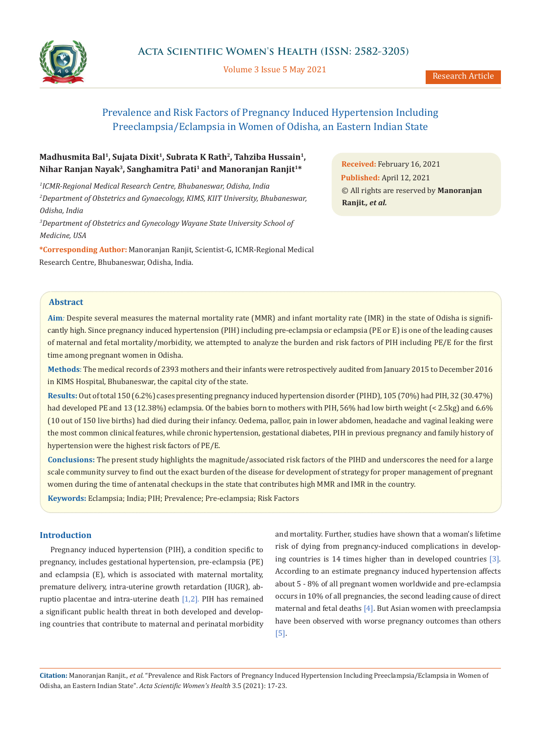

Volume 3 Issue 5 May 2021

# Prevalence and Risk Factors of Pregnancy Induced Hypertension Including Preeclampsia/Eclampsia in Women of Odisha, an Eastern Indian State

## **Madhusmita Bal1, Sujata Dixit1, Subrata K Rath2, Tahziba Hussain1, Nihar Ranjan Nayak3, Sanghamitra Pati1 and Manoranjan Ranjit1\***

*1 ICMR-Regional Medical Research Centre, Bhubaneswar, Odisha, India 2 Department of Obstetrics and Gynaecology, KIMS, KIIT University, Bhubaneswar, Odisha, India* 

*3 Department of Obstetrics and Gynecology Wayane State University School of Medicine, USA*

**\*Corresponding Author:** Manoranjan Ranjit, Scientist-G, ICMR-Regional Medical Research Centre, Bhubaneswar, Odisha, India.

**Received:** February 16, 2021 **Published:** April 12, 2021 © All rights are reserved by **Manoranjan Ranjit***., et al.*

#### **Abstract**

**Aim***:* Despite several measures the maternal mortality rate (MMR) and infant mortality rate (IMR) in the state of Odisha is significantly high. Since pregnancy induced hypertension (PIH) including pre-eclampsia or eclampsia (PE or E) is one of the leading causes of maternal and fetal mortality/morbidity, we attempted to analyze the burden and risk factors of PIH including PE/E for the first time among pregnant women in Odisha.

**Methods**: The medical records of 2393 mothers and their infants were retrospectively audited from January 2015 to December 2016 in KIMS Hospital, Bhubaneswar, the capital city of the state.

**Results:** Out of total 150 (6.2%) cases presenting pregnancy induced hypertension disorder (PIHD), 105 (70%) had PIH, 32 (30.47%) had developed PE and 13 (12.38%) eclampsia. Of the babies born to mothers with PIH, 56% had low birth weight (< 2.5kg) and 6.6% (10 out of 150 live births) had died during their infancy. Oedema, pallor, pain in lower abdomen, headache and vaginal leaking were the most common clinical features, while chronic hypertension, gestational diabetes, PIH in previous pregnancy and family history of hypertension were the highest risk factors of PE/E.

**Conclusions:** The present study highlights the magnitude/associated risk factors of the PIHD and underscores the need for a large scale community survey to find out the exact burden of the disease for development of strategy for proper management of pregnant women during the time of antenatal checkups in the state that contributes high MMR and IMR in the country.

**Keywords:** Eclampsia; India; PIH; Prevalence; Pre-eclampsia; Risk Factors

### **Introduction**

Pregnancy induced hypertension (PIH), a condition specific to pregnancy, includes gestational hypertension, pre-eclampsia (PE) and eclampsia (E), which is associated with maternal mortality, premature delivery, intra-uterine growth retardation (IUGR), abruptio placentae and intra-uterine death [1,2]. PIH has remained a significant public health threat in both developed and developing countries that contribute to maternal and perinatal morbidity

and mortality. Further, studies have shown that a woman's lifetime risk of dying from pregnancy-induced complications in developing countries is 14 times higher than in developed countries [3]. According to an estimate pregnancy induced hypertension affects about 5 - 8% of all pregnant women worldwide and pre-eclampsia occurs in 10% of all pregnancies, the second leading cause of direct maternal and fetal deaths [4]. But Asian women with preeclampsia have been observed with worse pregnancy outcomes than others [5].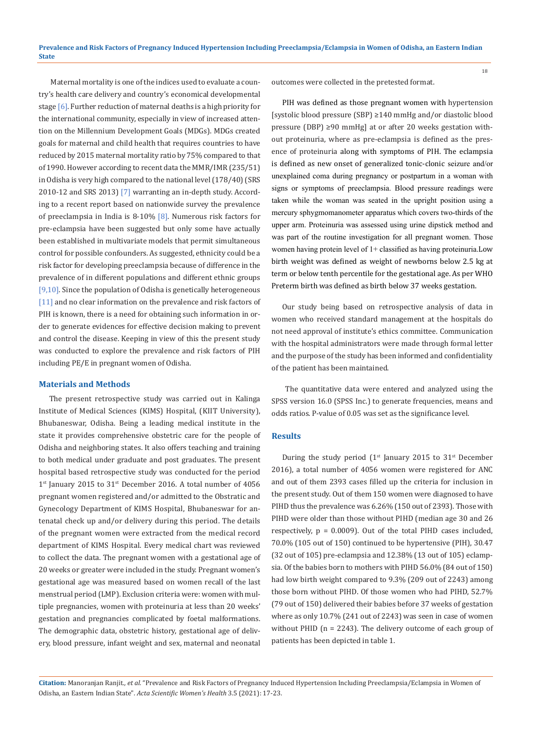Maternal mortality is one of the indices used to evaluate a country's health care delivery and country's economical developmental stage  $[6]$ . Further reduction of maternal deaths is a high priority for the international community, especially in view of increased attention on the Millennium Development Goals (MDGs). MDGs created goals for maternal and child health that requires countries to have reduced by 2015 maternal mortality ratio by 75% compared to that of 1990. However according to recent data the MMR/IMR (235/51) in Odisha is very high compared to the national level (178/40) (SRS 2010-12 and SRS 2013) [7] warranting an in-depth study. According to a recent report based on nationwide survey the prevalence of preeclampsia in India is  $8-10\%$  [8]. Numerous risk factors for pre-eclampsia have been suggested but only some have actually been established in multivariate models that permit simultaneous control for possible confounders. As suggested, ethnicity could be a risk factor for developing preeclampsia because of difference in the prevalence of in different populations and different ethnic groups [9,10]. Since the population of Odisha is genetically heterogeneous [11] and no clear information on the prevalence and risk factors of PIH is known, there is a need for obtaining such information in order to generate evidences for effective decision making to prevent and control the disease. Keeping in view of this the present study was conducted to explore the prevalence and risk factors of PIH including PE/E in pregnant women of Odisha.

#### **Materials and Methods**

The present retrospective study was carried out in Kalinga Institute of Medical Sciences (KIMS) Hospital, (KIIT University), Bhubaneswar, Odisha. Being a leading medical institute in the state it provides comprehensive obstetric care for the people of Odisha and neighboring states. It also offers teaching and training to both medical under graduate and post graduates. The present hospital based retrospective study was conducted for the period  $1<sup>st</sup>$  January 2015 to  $31<sup>st</sup>$  December 2016. A total number of 4056 pregnant women registered and/or admitted to the Obstratic and Gynecology Department of KIMS Hospital, Bhubaneswar for antenatal check up and/or delivery during this period. The details of the pregnant women were extracted from the medical record department of KIMS Hospital. Every medical chart was reviewed to collect the data. The pregnant women with a gestational age of 20 weeks or greater were included in the study. Pregnant women's gestational age was measured based on women recall of the last menstrual period (LMP). Exclusion criteria were: women with multiple pregnancies, women with proteinuria at less than 20 weeks' gestation and pregnancies complicated by foetal malformations. The demographic data, obstetric history, gestational age of delivery, blood pressure, infant weight and sex, maternal and neonatal

outcomes were collected in the pretested format.

PIH was defined as those pregnant women with hypertension [systolic blood pressure (SBP) ≥140 mmHg and/or diastolic blood pressure (DBP) ≥90 mmHg] at or after 20 weeks gestation without proteinuria, where as pre-eclampsia is defined as the presence of proteinuria along with symptoms of PIH. The eclampsia is defined as new onset of generalized tonic-clonic seizure and/or unexplained coma during pregnancy or postpartum in a woman with signs or symptoms of preeclampsia. Blood pressure readings were taken while the woman was seated in the upright position using a mercury sphygmomanometer apparatus which covers two-thirds of the upper arm. Proteinuria was assessed using urine dipstick method and was part of the routine investigation for all pregnant women. Those women having protein level of 1+ classified as having proteinuria.Low birth weight was defined as weight of newborns below 2.5 kg at term or below tenth percentile for the gestational age. As per WHO Preterm birth was defined as birth below 37 weeks gestation.

Our study being based on retrospective analysis of data in women who received standard management at the hospitals do not need approval of institute's ethics committee. Communication with the hospital administrators were made through formal letter and the purpose of the study has been informed and confidentiality of the patient has been maintained.

 The quantitative data were entered and analyzed using the SPSS version 16.0 (SPSS Inc.) to generate frequencies, means and odds ratios. P-value of 0.05 was set as the significance level.

#### **Results**

During the study period  $(1^{st}$  January 2015 to 31<sup>st</sup> December 2016), a total number of 4056 women were registered for ANC and out of them 2393 cases filled up the criteria for inclusion in the present study. Out of them 150 women were diagnosed to have PIHD thus the prevalence was 6.26% (150 out of 2393). Those with PIHD were older than those without PIHD (median age 30 and 26 respectively, p = 0.0009). Out of the total PIHD cases included, 70.0% (105 out of 150) continued to be hypertensive (PIH), 30.47 (32 out of 105) pre-eclampsia and 12.38% (13 out of 105) eclampsia. Of the babies born to mothers with PIHD 56.0% (84 out of 150) had low birth weight compared to 9.3% (209 out of 2243) among those born without PIHD. Of those women who had PIHD, 52.7% (79 out of 150) delivered their babies before 37 weeks of gestation where as only 10.7% (241 out of 2243) was seen in case of women without PHID (n = 2243). The delivery outcome of each group of patients has been depicted in table 1.

**Citation:** Manoranjan Ranjit*., et al.* "Prevalence and Risk Factors of Pregnancy Induced Hypertension Including Preeclampsia/Eclampsia in Women of Odisha, an Eastern Indian State". *Acta Scientific Women's Health* 3.5 (2021): 17-23.

18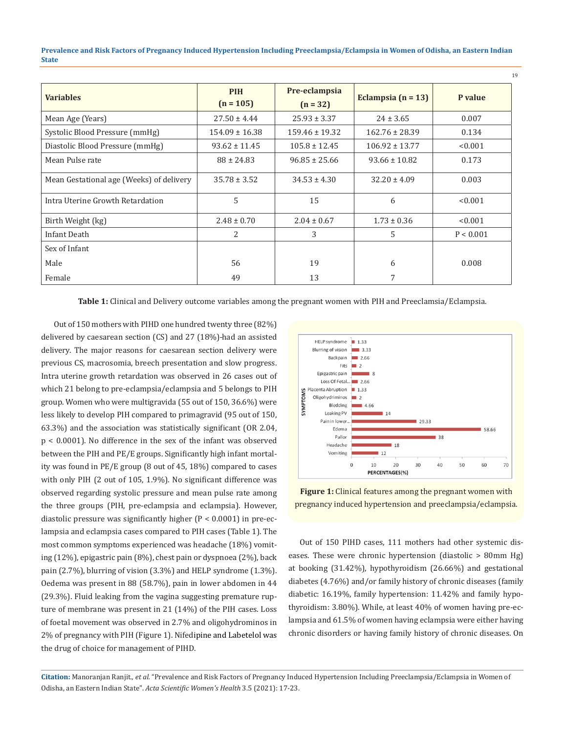**Prevalence and Risk Factors of Pregnancy Induced Hypertension Including Preeclampsia/Eclampsia in Women of Odisha, an Eastern Indian State**

| <b>Variables</b>                         | <b>PIH</b><br>$(n = 105)$ | Pre-eclampsia<br>$(n = 32)$ | Eclampsia $(n = 13)$ | P value   |
|------------------------------------------|---------------------------|-----------------------------|----------------------|-----------|
| Mean Age (Years)                         | $27.50 \pm 4.44$          | $25.93 \pm 3.37$            | $24 \pm 3.65$        | 0.007     |
| Systolic Blood Pressure (mmHg)           | $154.09 \pm 16.38$        | $159.46 \pm 19.32$          | $162.76 \pm 28.39$   | 0.134     |
| Diastolic Blood Pressure (mmHg)          | $93.62 \pm 11.45$         | $105.8 \pm 12.45$           | $106.92 \pm 13.77$   | < 0.001   |
| Mean Pulse rate                          | $88 \pm 24.83$            | $96.85 \pm 25.66$           | $93.66 \pm 10.82$    | 0.173     |
| Mean Gestational age (Weeks) of delivery | $35.78 \pm 3.52$          | $34.53 \pm 4.30$            | $32.20 \pm 4.09$     | 0.003     |
| Intra Uterine Growth Retardation         | 5                         | 15                          | 6                    | < 0.001   |
| Birth Weight (kg)                        | $2.48 \pm 0.70$           | $2.04 \pm 0.67$             | $1.73 \pm 0.36$      | < 0.001   |
| Infant Death                             | 2                         | 3                           | 5                    | P < 0.001 |
| Sex of Infant                            |                           |                             |                      |           |
| Male                                     | 56                        | 19                          | 6                    | 0.008     |
| Female                                   | 49                        | 13                          |                      |           |

**Table 1:** Clinical and Delivery outcome variables among the pregnant women with PIH and Preeclamsia/Eclampsia.

 Out of 150 mothers with PIHD one hundred twenty three (82%) delivered by caesarean section (CS) and 27 (18%)-had an assisted delivery. The major reasons for caesarean section delivery were previous CS, macrosomia, breech presentation and slow progress. Intra uterine growth retardation was observed in 26 cases out of which 21 belong to pre-eclampsia/eclampsia and 5 belongs to PIH group. Women who were multigravida (55 out of 150, 36.6%) were less likely to develop PIH compared to primagravid (95 out of 150, 63.3%) and the association was statistically significant (OR 2.04, p < 0.0001). No difference in the sex of the infant was observed between the PIH and PE/E groups. Significantly high infant mortality was found in PE/E group (8 out of 45, 18%) compared to cases with only PIH (2 out of 105, 1.9%). No significant difference was observed regarding systolic pressure and mean pulse rate among the three groups (PIH, pre-eclampsia and eclampsia). However, diastolic pressure was significantly higher (P < 0.0001) in pre-eclampsia and eclampsia cases compared to PIH cases (Table 1). The most common symptoms experienced was headache (18%) vomiting (12%), epigastric pain (8%), chest pain or dyspnoea (2%), back pain (2.7%), blurring of vision (3.3%) and HELP syndrome (1.3%). Oedema was present in 88 (58.7%), pain in lower abdomen in 44 (29.3%). Fluid leaking from the vagina suggesting premature rupture of membrane was present in 21 (14%) of the PIH cases. Loss of foetal movement was observed in 2.7% and oligohydrominos in 2% of pregnancy with PIH (Figure 1). Nifedipine and Labetelol was the drug of choice for management of PIHD.



19

**Figure 1:** Clinical features among the pregnant women with pregnancy induced hypertension and preeclampsia/eclampsia.

Out of 150 PIHD cases, 111 mothers had other systemic diseases. These were chronic hypertension (diastolic > 80mm Hg) at booking (31.42%), hypothyroidism (26.66%) and gestational diabetes (4.76%) and/or family history of chronic diseases (family diabetic: 16.19%, family hypertension: 11.42% and family hypothyroidism: 3.80%). While, at least 40% of women having pre-eclampsia and 61.5% of women having eclampsia were either having chronic disorders or having family history of chronic diseases. On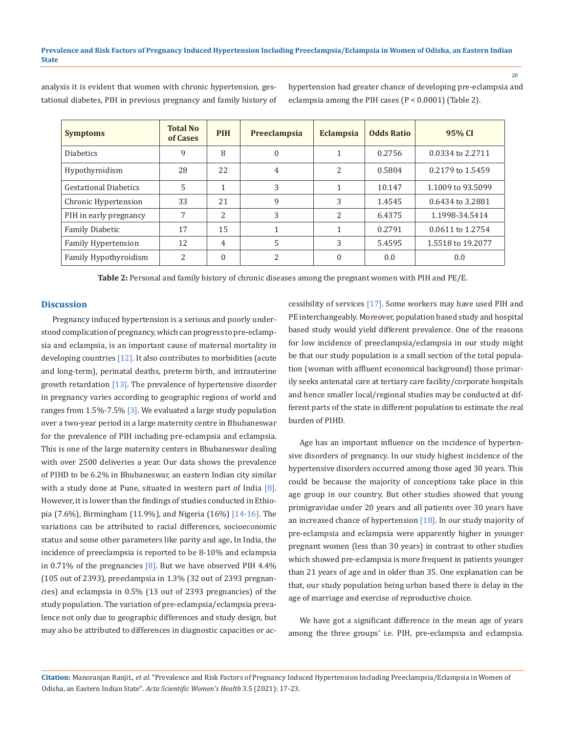**Symptoms Total No Total No of Cases of Cases PIH Preeclampsia Eclampsia Odds Ratio 95% CI** Diabetics  $\begin{array}{|c|c|c|c|c|c|c|c|} \hline \end{array}$  9 8 0 0 1 1 0.2756 0.0334 to 2.2711 Hypothyroidism 28 22 4 2 0.5804 0.2179 to 1.5459 Gestational Diabetics  $\begin{array}{|c|c|c|c|c|c|c|c|c|} \hline 5 & 1 & 3 & 1 & 10.147 & 1.1009 \text{ to } 93.5099 \hline \end{array}$ Chronic Hypertension | 33 | 21 | 9 | 3 | 1.4545 | 0.6434 to 3.2881 PIH in early pregnancy | 7 | 2 | 3 | 2 | 6.4375 | 1.1998-34.5414 Family Diabetic 17 15 1 1 0.2791 0.0611 to 1.2754 Family Hypertension 2008 12 4 5 5 3 5.4595 1.5518 to 19.2077 Family Hypothyroidism 2 0 2 0 0.0 0.0

analysis it is evident that women with chronic hypertension, gestational diabetes, PIH in previous pregnancy and family history of hypertension had greater chance of developing pre-eclampsia and eclampsia among the PIH cases (P < 0.0001) (Table 2).

**Table 2:** Personal and family history of chronic diseases among the pregnant women with PIH and PE/E.

#### **Discussion**

Pregnancy induced hypertension is a serious and poorly understood complication of pregnancy, which can progress to pre-eclampsia and eclampsia, is an important cause of maternal mortality in developing countries  $[12]$ . It also contributes to morbidities (acute and long-term), perinatal deaths, preterm birth, and intrauterine growth retardation [13]. The prevalence of hypertensive disorder in pregnancy varies according to geographic regions of world and ranges from  $1.5\%$ -7.5% [3]. We evaluated a large study population over a two-year period in a large maternity centre in Bhubaneswar for the prevalence of PIH including pre-eclampsia and eclampsia. This is one of the large maternity centers in Bhubaneswar dealing with over 2500 deliveries a year. Our data shows the prevalence of PIHD to be 6.2% in Bhubaneswar, an eastern Indian city similar with a study done at Pune, situated in western part of India  $[8]$ . However, it is lower than the findings of studies conducted in Ethiopia (7.6%), Birmingham (11.9%), and Nigeria (16%) [14-16]. The variations can be attributed to racial differences, socioeconomic status and some other parameters like parity and age**.** In India, the incidence of preeclampsia is reported to be 8-10% and eclampsia in 0.71% of the pregnancies  $[8]$ . But we have observed PIH 4.4% (105 out of 2393), preeclampsia in 1.3% (32 out of 2393 pregnancies) and eclampsia in 0.5% (13 out of 2393 pregnancies) of the study population. The variation of pre-eclampsia/eclampsia prevalence not only due to geographic differences and study design, but may also be attributed to differences in diagnostic capacities or accessibility of services [17]. Some workers may have used PIH and PE interchangeably. Moreover, population based study and hospital based study would yield different prevalence. One of the reasons for low incidence of preeclampsia/eclampsia in our study might be that our study population is a small section of the total population (woman with affluent economical background) those primarily seeks antenatal care at tertiary care facility/corporate hospitals and hence smaller local/regional studies may be conducted at different parts of the state in different population to estimate the real burden of PIHD.

Age has an important influence on the incidence of hypertensive disorders of pregnancy. In our study highest incidence of the hypertensive disorders occurred among those aged 30 years. This could be because the majority of conceptions take place in this age group in our country. But other studies showed that young primigravidae under 20 years and all patients over 30 years have an increased chance of hypertension [18]. In our study majority of pre-eclampsia and eclampsia were apparently higher in younger pregnant women (less than 30 years) in contrast to other studies which showed pre-eclampsia is more frequent in patients younger than 21 years of age and in older than 35. One explanation can be that, our study population being urban based there is delay in the age of marriage and exercise of reproductive choice.

We have got a significant difference in the mean age of years among the three groups' i.e. PIH, pre-eclampsia and eclampsia.

**Citation:** Manoranjan Ranjit*., et al.* "Prevalence and Risk Factors of Pregnancy Induced Hypertension Including Preeclampsia/Eclampsia in Women of Odisha, an Eastern Indian State". *Acta Scientific Women's Health* 3.5 (2021): 17-23.

20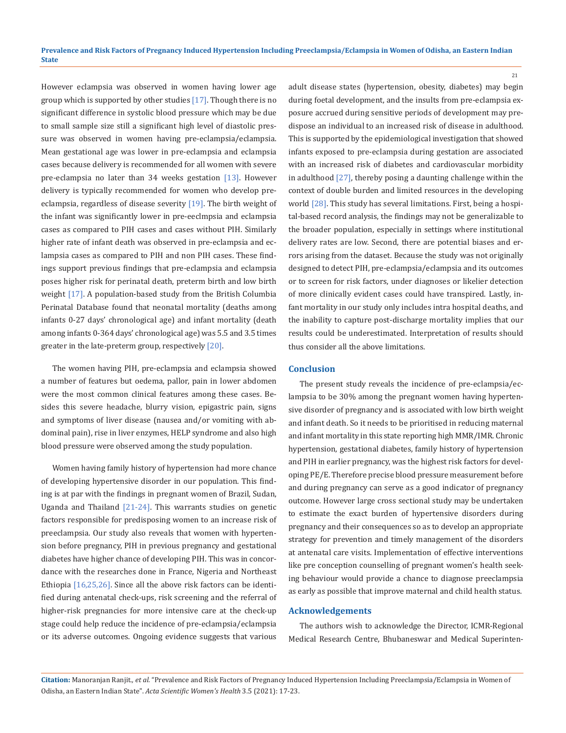However eclampsia was observed in women having lower age group which is supported by other studies [17]. Though there is no significant difference in systolic blood pressure which may be due to small sample size still a significant high level of diastolic pressure was observed in women having pre-eclampsia/eclampsia. Mean gestational age was lower in pre-eclampsia and eclampsia cases because delivery is recommended for all women with severe pre-eclampsia no later than 34 weeks gestation [13]. However delivery is typically recommended for women who develop preeclampsia, regardless of disease severity [19]. The birth weight of the infant was significantly lower in pre-eeclmpsia and eclampsia cases as compared to PIH cases and cases without PIH. Similarly higher rate of infant death was observed in pre-eclampsia and eclampsia cases as compared to PIH and non PIH cases. These findings support previous findings that pre-eclampsia and eclampsia poses higher risk for perinatal death, preterm birth and low birth weight [17]. A population-based study from the British Columbia Perinatal Database found that neonatal mortality (deaths among infants 0-27 days' chronological age) and infant mortality (death among infants 0-364 days' chronological age) was 5.5 and 3.5 times greater in the late-preterm group, respectively [20].

The women having PIH, pre-eclampsia and eclampsia showed a number of features but oedema, pallor, pain in lower abdomen were the most common clinical features among these cases. Besides this severe headache, blurry vision, epigastric pain, signs and symptoms of liver disease (nausea and/or vomiting with abdominal pain), rise in liver enzymes, HELP syndrome and also high blood pressure were observed among the study population.

Women having family history of hypertension had more chance of developing hypertensive disorder in our population. This finding is at par with the findings in pregnant women of Brazil, Sudan, Uganda and Thailand  $[21-24]$ . This warrants studies on genetic factors responsible for predisposing women to an increase risk of preeclampsia. Our study also reveals that women with hypertension before pregnancy, PIH in previous pregnancy and gestational diabetes have higher chance of developing PIH. This was in concordance with the researches done in France, Nigeria and Northeast Ethiopia [16,25,26]. Since all the above risk factors can be identified during antenatal check-ups, risk screening and the referral of higher-risk pregnancies for more intensive care at the check-up stage could help reduce the incidence of pre-eclampsia/eclampsia or its adverse outcomes. Ongoing evidence suggests that various

adult disease states (hypertension, obesity, diabetes) may begin during foetal development, and the insults from pre-eclampsia exposure accrued during sensitive periods of development may predispose an individual to an increased risk of disease in adulthood. This is supported by the epidemiological investigation that showed infants exposed to pre-eclampsia during gestation are associated with an increased risk of diabetes and cardiovascular morbidity in adulthood [27], thereby posing a daunting challenge within the context of double burden and limited resources in the developing world [28]. This study has several limitations. First, being a hospital-based record analysis, the findings may not be generalizable to the broader population, especially in settings where institutional delivery rates are low. Second, there are potential biases and errors arising from the dataset. Because the study was not originally designed to detect PIH, pre-eclampsia/eclampsia and its outcomes or to screen for risk factors, under diagnoses or likelier detection of more clinically evident cases could have transpired. Lastly, infant mortality in our study only includes intra hospital deaths, and the inability to capture post-discharge mortality implies that our results could be underestimated. Interpretation of results should thus consider all the above limitations.

21

#### **Conclusion**

The present study reveals the incidence of pre-eclampsia/eclampsia to be 30% among the pregnant women having hypertensive disorder of pregnancy and is associated with low birth weight and infant death. So it needs to be prioritised in reducing maternal and infant mortality in this state reporting high MMR/IMR. Chronic hypertension, gestational diabetes, family history of hypertension and PIH in earlier pregnancy, was the highest risk factors for developing PE/E. Therefore precise blood pressure measurement before and during pregnancy can serve as a good indicator of pregnancy outcome. However large cross sectional study may be undertaken to estimate the exact burden of hypertensive disorders during pregnancy and their consequences so as to develop an appropriate strategy for prevention and timely management of the disorders at antenatal care visits. Implementation of effective interventions like pre conception counselling of pregnant women's health seeking behaviour would provide a chance to diagnose preeclampsia as early as possible that improve maternal and child health status.

#### **Acknowledgements**

The authors wish to acknowledge the Director, ICMR-Regional Medical Research Centre, Bhubaneswar and Medical Superinten-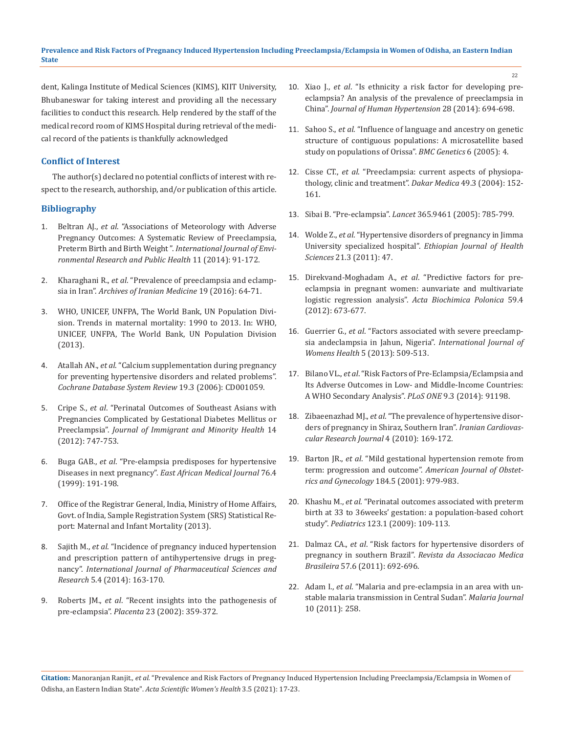dent, Kalinga Institute of Medical Sciences (KIMS), KIIT University, Bhubaneswar for taking interest and providing all the necessary facilities to conduct this research. Help rendered by the staff of the medical record room of KIMS Hospital during retrieval of the medical record of the patients is thankfully acknowledged

## **Conflict of Interest**

The author(s) declared no potential conflicts of interest with respect to the research, authorship, and/or publication of this article.

## **Bibliography**

- 1. Beltran AJ., *et al*[. "Associations of Meteorology with Adverse](https://pubmed.ncbi.nlm.nih.gov/24362545/)  [Pregnancy Outcomes: A Systematic Review of Preeclampsia,](https://pubmed.ncbi.nlm.nih.gov/24362545/)  Preterm Birth and Birth Weight ". *[International Journal of Envi](https://pubmed.ncbi.nlm.nih.gov/24362545/)[ronmental Research and Public Health](https://pubmed.ncbi.nlm.nih.gov/24362545/)* 11 (2014): 91-172.
- 2. Kharaghani R., *et al*[. "Prevalence of preeclampsia and eclamp](https://pubmed.ncbi.nlm.nih.gov/26702751/)sia in Iran". *[Archives of Iranian Medicine](https://pubmed.ncbi.nlm.nih.gov/26702751/)* 19 (2016): 64-71.
- 3. [WHO, UNICEF, UNFPA, The World Bank, UN Population Divi](http://apps.who.int/iris/bitstream/10665/112682/2/9789241507226_eng.pdf?ua=1)[sion. Trends in maternal mortality: 1990 to 2013. In: WHO,](http://apps.who.int/iris/bitstream/10665/112682/2/9789241507226_eng.pdf?ua=1)  [UNICEF, UNFPA, The World Bank, UN Population Division](http://apps.who.int/iris/bitstream/10665/112682/2/9789241507226_eng.pdf?ua=1)  [\(2013\).](http://apps.who.int/iris/bitstream/10665/112682/2/9789241507226_eng.pdf?ua=1)
- 4. Atallah AN., *et al*[. "Calcium supplementation during pregnancy](https://pubmed.ncbi.nlm.nih.gov/11869587/)  [for preventing hypertensive disorders and related problems".](https://pubmed.ncbi.nlm.nih.gov/11869587/)  *[Cochrane Database System Review](https://pubmed.ncbi.nlm.nih.gov/11869587/)* 19.3 (2006): CD001059.
- 5. Cripe S., *et al*[. "Perinatal Outcomes of Southeast Asians with](https://pubmed.ncbi.nlm.nih.gov/22002706/)  [Pregnancies Complicated by Gestational Diabetes Mellitus or](https://pubmed.ncbi.nlm.nih.gov/22002706/)  Preeclampsia". *[Journal of Immigrant and Minority Health](https://pubmed.ncbi.nlm.nih.gov/22002706/)* 14 [\(2012\): 747-753.](https://pubmed.ncbi.nlm.nih.gov/22002706/)
- 6. Buga GAB., *et al*. "Pre-elampsia predisposes for hypertensive Diseases in next pregnancy". *East African Medical Journal* 76.4 (1999): 191-198.
- 7. [Office of the Registrar General, India, Ministry of Home Affairs,](http://censusindia.gov.in/vital_statistics/SRS_Bulletins/SRS%20Bulletin%20-Sepetember%2014)  [Govt. of India, Sample Registration System \(SRS\) Statistical Re](http://censusindia.gov.in/vital_statistics/SRS_Bulletins/SRS%20Bulletin%20-Sepetember%2014)[port: Maternal and Infant Mortality \(2013\).](http://censusindia.gov.in/vital_statistics/SRS_Bulletins/SRS%20Bulletin%20-Sepetember%2014)
- 8. Sajith M., *et al*[. "Incidence of pregnancy induced hypertension](https://www.ijpsr.info/docs/IJPSR14-05-04-002.pdf)  [and prescription pattern of antihypertensive drugs in preg](https://www.ijpsr.info/docs/IJPSR14-05-04-002.pdf)nancy". *[International Journal of Pharmaceutical Sciences and](https://www.ijpsr.info/docs/IJPSR14-05-04-002.pdf)  Research* [5.4 \(2014\): 163-170.](https://www.ijpsr.info/docs/IJPSR14-05-04-002.pdf)
- 9. Roberts JM., *et al*[. "Recent insights into the pathogenesis of](https://pubmed.ncbi.nlm.nih.gov/12061851/)  pre-eclampsia". *Placenta* [23 \(2002\): 359-372.](https://pubmed.ncbi.nlm.nih.gov/12061851/)
- 10. Xiao J., *et al*[. "Is ethnicity a risk factor for developing pre](https://pubmed.ncbi.nlm.nih.gov/24430700/)[eclampsia? An analysis of the prevalence of preeclampsia in](https://pubmed.ncbi.nlm.nih.gov/24430700/)  China". *[Journal of Human Hypertension](https://pubmed.ncbi.nlm.nih.gov/24430700/)* 28 (2014): 694-698.
- 11. Sahoo S., *et al*[. "Influence of language and ancestry on genetic](https://pubmed.ncbi.nlm.nih.gov/15694006/)  [structure of contiguous populations: A microsatellite based](https://pubmed.ncbi.nlm.nih.gov/15694006/)  [study on populations of Orissa".](https://pubmed.ncbi.nlm.nih.gov/15694006/) *BMC Genetics* 6 (2005): 4.
- 12. Cisse CT., *et al*[. "Preeclampsia: current aspects of physiopa](https://pubmed.ncbi.nlm.nih.gov/15776611/)[thology, clinic and treatment".](https://pubmed.ncbi.nlm.nih.gov/15776611/) *Dakar Medica* 49.3 (2004): 152- [161.](https://pubmed.ncbi.nlm.nih.gov/15776611/)
- 13. Sibai B. "Pre-eclampsia". *Lancet* [365.9461 \(2005\): 785-799.](https://pubmed.ncbi.nlm.nih.gov/15733721/)
- 14. Wolde Z., *et al*[. "Hypertensive disorders of pregnancy in Jimma](https://pubmed.ncbi.nlm.nih.gov/22434994/)  University specialized hospital". *[Ethiopian Journal of Health](https://pubmed.ncbi.nlm.nih.gov/22434994/)  Sciences* [21.3 \(2011\): 47.](https://pubmed.ncbi.nlm.nih.gov/22434994/)
- 15. Direkvand-Moghadam A., *et al*[. "Predictive factors for pre](https://pubmed.ncbi.nlm.nih.gov/23198281/)[eclampsia in pregnant women: aunvariate and multivariate](https://pubmed.ncbi.nlm.nih.gov/23198281/)  logistic regression analysis". *[Acta Biochimica Polonica](https://pubmed.ncbi.nlm.nih.gov/23198281/)* 59.4 [\(2012\): 673-677.](https://pubmed.ncbi.nlm.nih.gov/23198281/)
- 16. Guerrier G., *et al*[. "Factors associated with severe preeclamp](https://pubmed.ncbi.nlm.nih.gov/23983493/)[sia andeclampsia in Jahun, Nigeria".](https://pubmed.ncbi.nlm.nih.gov/23983493/) *International Journal of Womens Health* [5 \(2013\): 509-513.](https://pubmed.ncbi.nlm.nih.gov/23983493/)
- 17. Bilano VL., *et al*[. "Risk Factors of Pre-Eclampsia/Eclampsia and](https://pubmed.ncbi.nlm.nih.gov/24657964/)  [Its Adverse Outcomes in Low- and Middle-Income Countries:](https://pubmed.ncbi.nlm.nih.gov/24657964/)  [A WHO Secondary Analysis".](https://pubmed.ncbi.nlm.nih.gov/24657964/) *PLoS ONE* 9.3 (2014): 91198.
- 18. Zibaeenazhad MJ., *et al*[. "The prevalence of hypertensive disor](https://www.researchgate.net/publication/265244873_The_Prevalence_of_Hypertensive_Disorders_of_Pregnancy_in_Shiraz_Southern_Iran)[ders of pregnancy in Shiraz, Southern Iran".](https://www.researchgate.net/publication/265244873_The_Prevalence_of_Hypertensive_Disorders_of_Pregnancy_in_Shiraz_Southern_Iran) *Iranian Cardiovas[cular Research Journal](https://www.researchgate.net/publication/265244873_The_Prevalence_of_Hypertensive_Disorders_of_Pregnancy_in_Shiraz_Southern_Iran)* 4 (2010): 169-172.
- 19. Barton JR., *et al*[. "Mild gestational hypertension remote from](https://pubmed.ncbi.nlm.nih.gov/11303208/)  term: progression and outcome". *[American Journal of Obstet](https://pubmed.ncbi.nlm.nih.gov/11303208/)[rics and Gynecology](https://pubmed.ncbi.nlm.nih.gov/11303208/)* 184.5 (2001): 979-983.
- 20. Khashu M., *et al*[. "Perinatal outcomes associated with preterm](https://pubmed.ncbi.nlm.nih.gov/19117868/)  [birth at 33 to 36weeks' gestation: a population-based cohort](https://pubmed.ncbi.nlm.nih.gov/19117868/)  study". *Pediatrics* [123.1 \(2009\): 109-113.](https://pubmed.ncbi.nlm.nih.gov/19117868/)
- 21. Dalmaz CA., *et al*[. "Risk factors for hypertensive disorders of](https://pubmed.ncbi.nlm.nih.gov/22249551/)  pregnancy in southern Brazil". *[Revista da Associacao Medica](https://pubmed.ncbi.nlm.nih.gov/22249551/)  Brasileira* [57.6 \(2011\): 692-696.](https://pubmed.ncbi.nlm.nih.gov/22249551/)
- 22. Adam I., *et al*[. "Malaria and pre-eclampsia in an area with un](https://pubmed.ncbi.nlm.nih.gov/21899731/)[stable malaria transmission in Central Sudan".](https://pubmed.ncbi.nlm.nih.gov/21899731/) *Malaria Journal* [10 \(2011\): 258.](https://pubmed.ncbi.nlm.nih.gov/21899731/)

**Citation:** Manoranjan Ranjit*., et al.* "Prevalence and Risk Factors of Pregnancy Induced Hypertension Including Preeclampsia/Eclampsia in Women of Odisha, an Eastern Indian State". *Acta Scientific Women's Health* 3.5 (2021): 17-23.

22